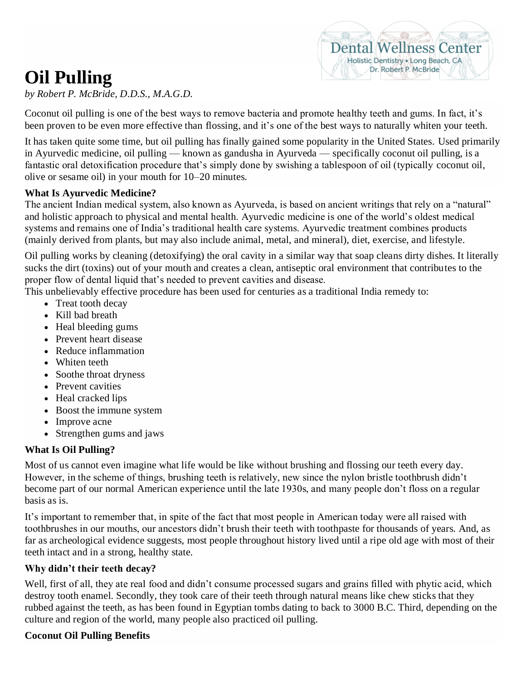# **Oil Pulling**



*by Robert P. McBride, D.D.S., M.A.G.D.*

Coconut oil pulling is one of the best ways to remove bacteria and promote healthy teeth and gums. In fact, it's been proven to be even more effective than [flossing,](https://draxe.com/flossing/) and it's one of the best ways to [naturally whiten your teeth.](https://draxe.com/6-ways-to-naturally-whiten-your-teeth/)

It has taken quite some time, but oil pulling has finally gained some popularity in the United States. Used primarily in Ayurvedic medicine, oil pulling — known as gandusha in Ayurveda — specifically coconut oil pulling, is a fantastic oral detoxification procedure that's simply done by swishing a tablespoon of oil (typically [coconut](https://draxe.com/coconut-oil-uses/) oil, olive or sesame oil) in your mouth for 10–20 minutes.

#### **What Is Ayurvedic Medicine?**

The ancient Indian medical system, also known as Ayurveda, is based on ancient writings that rely on a "natural" and holistic approach to physical and mental health. Ayurvedic medicine is one of the world's oldest medical systems and remains one of India's traditional health care systems. Ayurvedic treatment combines products (mainly derived from plants, but may also include animal, metal, and mineral), diet, exercise, and lifestyle.

Oil pulling works by cleaning (detoxifying) the oral cavity in a similar way that soap cleans dirty dishes. It literally sucks the dirt (toxins) out of your mouth and creates a clean, antiseptic oral environment that contributes to the proper flow of dental liquid that's needed to prevent cavities and disease.

This unbelievably effective procedure has been used for centuries as a traditional India remedy to:

- Treat tooth decay
- Kill bad breath
- Heal bleeding gums
- Prevent heart disease
- Reduce inflammation
- Whiten teeth
- Soothe throat dryness
- Prevent cavities
- Heal cracked lips
- Boost the immune system
- Improve acne
- Strengthen gums and jaws

### **What Is Oil Pulling?**

Most of us cannot even imagine what life would be like without brushing and flossing our teeth every day. However, in the scheme of things, brushing teeth is relatively, new since the nylon bristle toothbrush didn't become part of our normal American experience until the late 1930s, and many people don't floss on a regular basis as is.

It's important to remember that, in spite of the fact that most people in American today were all raised with toothbrushes in our mouths, our ancestors didn't brush their teeth with toothpaste for thousands of years. And, as far as archeological evidence suggests, most people throughout history lived until a ripe old age with most of their teeth intact and in a strong, healthy state.

### **Why didn't their teeth decay?**

Well, first of all, they ate real food and didn't consume processed sugars and grains filled with phytic acid, which destroy tooth enamel. Secondly, they took care of their teeth through natural means like chew sticks that they rubbed against the teeth, as has been found in Egyptian tombs dating to back to 3000 B.C. Third, depending on the culture and region of the world, many people also practiced oil pulling.

### **Coconut Oil Pulling Benefits**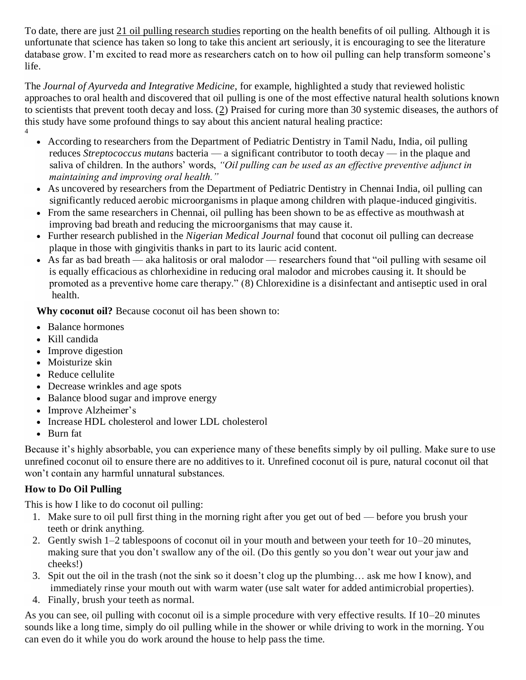To date, there are just [21 oil pulling research studies](http://www.ncbi.nlm.nih.gov/pubmed/?term=%22oil+pulling%22) reporting on the health benefits of oil pulling. Although it is unfortunate that science has taken so long to take this ancient art seriously, it is encouraging to see the literature database grow. I'm excited to read more as researchers catch on to how oil pulling can help transform someone's life.

The *Journal of Ayurveda and Integrative Medicine,* for example, highlighted a study that reviewed holistic approaches to oral health and discovered that oil pulling is one of the most effective natural health solutions known to scientists that prevent tooth decay and loss. [\(2\)](http://www.ncbi.nlm.nih.gov/pmc/articles/PMC3131773/) Praised for curing more than 30 systemic diseases, the authors of this study have some profound things to say about this ancient natural healing practice: 4

- 
- According to researchers from the Department of Pediatric Dentistry in Tamil Nadu, India, oil pulling reduces *[Streptococcus mutans](https://draxe.com/16-strep-throat-home-remedies/)* bacteria — a significant contributor to tooth decay — in the plaque and saliva of children. In the authors' words, *"Oil pulling can be used as an effective preventive adjunct in maintaining and improving oral health."*
- As uncovered by researchers from the Department of Pediatric Dentistry in Chennai India, oil pulling can significantly reduced aerobic microorganisms in plaque among children with plaque-induced [gingivitis.](https://draxe.com/receding-gums/)
- From the same researchers in Chennai, oil pulling has been shown to be as effective as mouthwash at improving [bad breath](https://draxe.com/how-to-get-rid-of-bad-breath/) and reducing the microorganisms that may cause it.
- Further research published in the *Nigerian Medical Journal* found that coconut oil pulling can decrease plaque in those with gingivitis thanks in part to its [lauric acid](https://draxe.com/lauric-acid/) content.
- As far as bad breath aka halitosis or oral malodor researchers found that "oil pulling with sesame oil is equally efficacious as chlorhexidine in reducing oral malodor and microbes causing it. It should be promoted as a preventive home care therapy." [\(8\)](https://www.ncbi.nlm.nih.gov/pubmed/25584309) Chlorexidine is a disinfectant and antiseptic used in oral health.

**Why coconut oil?** Because coconut oil has been shown to:

- Balance hormones
- Kill candida
- Improve digestion
- Moisturize skin
- Reduce cellulite
- Decrease wrinkles and age spots
- [Balance blood sugar](https://draxe.com/normal-blood-sugar/) and improve energy
- Improve Alzheimer's
- Increase [HDL cholesterol](https://draxe.com/hdl-cholesterol/) and lower LDL cholesterol
- Burn fat

Because it's highly absorbable, you can experience many of these benefits simply by oil pulling. Make sure to use unrefined coconut oil to ensure there are no additives to it. Unrefined coconut oil is pure, natural coconut oil that won't contain any harmful unnatural substances.

## **How to Do Oil Pulling**

This is how I like to do coconut oil pulling:

- 1. Make sure to oil pull first thing in the morning right after you get out of bed before you brush your teeth or drink anything.
- 2. Gently swish 1–2 tablespoons of coconut oil in your mouth and between your teeth for 10–20 minutes, making sure that you don't swallow any of the oil. (Do this gently so you don't wear out your jaw and cheeks!)
- 3. Spit out the oil in the trash (not the sink so it doesn't clog up the plumbing… ask me how I know), and immediately rinse your mouth out with warm water (use salt water for added antimicrobial properties).
- 4. Finally, brush your teeth as normal.

As you can see, oil pulling with coconut oil is a simple procedure with very effective results. If 10–20 minutes sounds like a long time, simply do oil pulling while in the shower or while driving to work in the morning. You can even do it while you do work around the house to help pass the time.